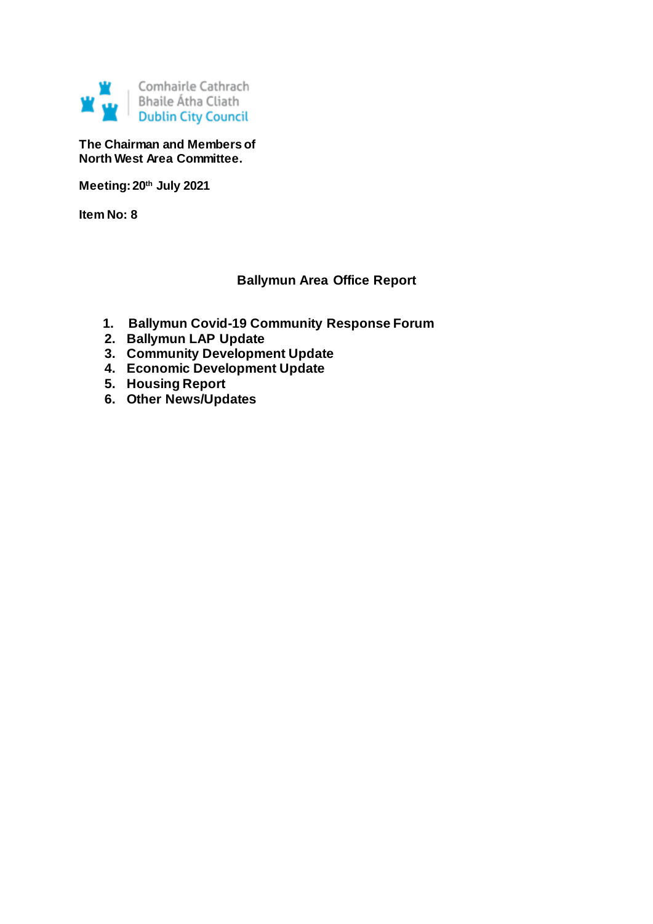

**The Chairman and Members of North West Area Committee.**

**Meeting: 20th July 2021**

**Item No: 8**

# **Ballymun Area Office Report**

- **1. Ballymun Covid-19 Community Response Forum**
- **2. Ballymun LAP Update**
- **3. Community Development Update**
- **4. Economic Development Update**
- **5. Housing Report**
- **6. Other News/Updates**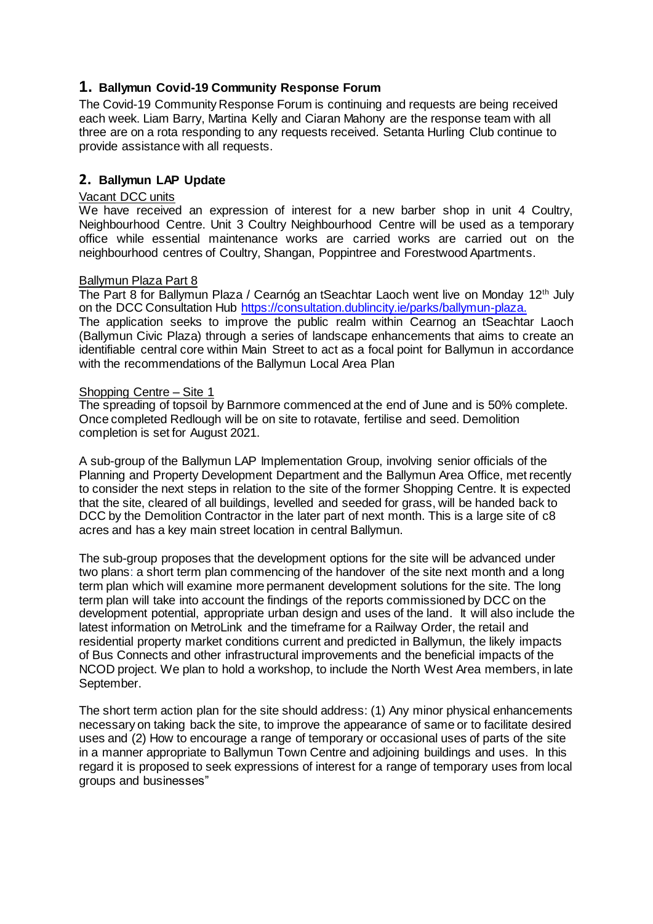# **1. Ballymun Covid-19 Community Response Forum**

The Covid-19 Community Response Forum is continuing and requests are being received each week. Liam Barry, Martina Kelly and Ciaran Mahony are the response team with all three are on a rota responding to any requests received. Setanta Hurling Club continue to provide assistance with all requests.

# **2. Ballymun LAP Update**

### Vacant DCC units

We have received an expression of interest for a new barber shop in unit 4 Coultry, Neighbourhood Centre. Unit 3 Coultry Neighbourhood Centre will be used as a temporary office while essential maintenance works are carried works are carried out on the neighbourhood centres of Coultry, Shangan, Poppintree and Forestwood Apartments.

### Ballymun Plaza Part 8

The Part 8 for Ballymun Plaza / Cearnóg an tSeachtar Laoch went live on Monday 12<sup>th</sup> July on the DCC Consultation Hub [https://consultation.dublincity.ie/parks/ballymun-plaza.](https://consultation.dublincity.ie/parks/ballymun-plaza) The application seeks to improve the public realm within Cearnog an tSeachtar Laoch (Ballymun Civic Plaza) through a series of landscape enhancements that aims to create an identifiable central core within Main Street to act as a focal point for Ballymun in accordance with the recommendations of the Ballymun Local Area Plan

### Shopping Centre – Site 1

The spreading of topsoil by Barnmore commenced at the end of June and is 50% complete. Once completed Redlough will be on site to rotavate, fertilise and seed. Demolition completion is set for August 2021.

A sub-group of the Ballymun LAP Implementation Group, involving senior officials of the Planning and Property Development Department and the Ballymun Area Office, met recently to consider the next steps in relation to the site of the former Shopping Centre. It is expected that the site, cleared of all buildings, levelled and seeded for grass, will be handed back to DCC by the Demolition Contractor in the later part of next month. This is a large site of c8 acres and has a key main street location in central Ballymun.

The sub-group proposes that the development options for the site will be advanced under two plans: a short term plan commencing of the handover of the site next month and a long term plan which will examine more permanent development solutions for the site. The long term plan will take into account the findings of the reports commissioned by DCC on the development potential, appropriate urban design and uses of the land. It will also include the latest information on MetroLink and the timeframe for a Railway Order, the retail and residential property market conditions current and predicted in Ballymun, the likely impacts of Bus Connects and other infrastructural improvements and the beneficial impacts of the NCOD project. We plan to hold a workshop, to include the North West Area members, in late September.

The short term action plan for the site should address: (1) Any minor physical enhancements necessary on taking back the site, to improve the appearance of same or to facilitate desired uses and (2) How to encourage a range of temporary or occasional uses of parts of the site in a manner appropriate to Ballymun Town Centre and adjoining buildings and uses. In this regard it is proposed to seek expressions of interest for a range of temporary uses from local groups and businesses"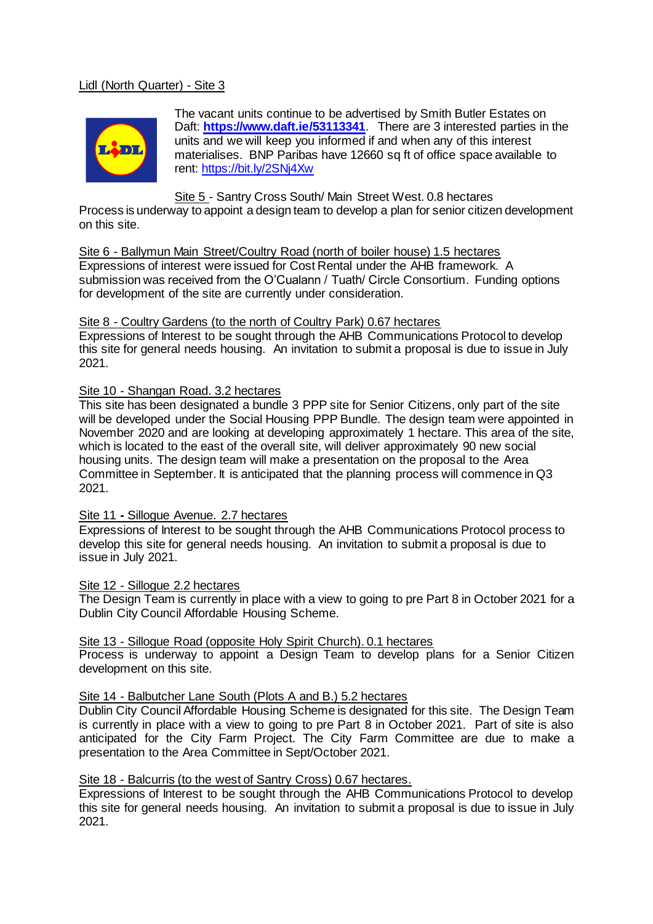# Lidl (North Quarter) - Site 3



The vacant units continue to be advertised by Smith Butler Estates on Daft: **<https://www.daft.ie/53113341>**. There are 3 interested parties in the units and we will keep you informed if and when any of this interest materialises. BNP Paribas have 12660 sq ft of office space available to rent:<https://bit.ly/2SNj4Xw>

### Site 5 - Santry Cross South/ Main Street West. 0.8 hectares

Process is underway to appoint a design team to develop a plan for senior citizen development on this site.

Site 6 - Ballymun Main Street/Coultry Road (north of boiler house) 1.5 hectares Expressions of interest were issued for Cost Rental under the AHB framework. A submission was received from the O'Cualann / Tuath/ Circle Consortium. Funding options for development of the site are currently under consideration.

#### Site 8 - Coultry Gardens (to the north of Coultry Park) 0.67 hectares

Expressions of Interest to be sought through the AHB Communications Protocol to develop this site for general needs housing. An invitation to submit a proposal is due to issue in July 2021.

### Site 10 - Shangan Road. 3.2 hectares

This site has been designated a bundle 3 PPP site for Senior Citizens, only part of the site will be developed under the Social Housing PPP Bundle. The design team were appointed in November 2020 and are looking at developing approximately 1 hectare. This area of the site, which is located to the east of the overall site, will deliver approximately 90 new social housing units. The design team will make a presentation on the proposal to the Area Committee in September. It is anticipated that the planning process will commence in Q3 2021.

#### Site 11 **-** Sillogue Avenue. 2.7 hectares

Expressions of Interest to be sought through the AHB Communications Protocol process to develop this site for general needs housing. An invitation to submit a proposal is due to issue in July 2021.

### Site 12 - Sillogue 2.2 hectares

The Design Team is currently in place with a view to going to pre Part 8 in October 2021 for a Dublin City Council Affordable Housing Scheme.

Site 13 - Sillogue Road (opposite Holy Spirit Church). 0.1 hectares

Process is underway to appoint a Design Team to develop plans for a Senior Citizen development on this site.

#### Site 14 - Balbutcher Lane South (Plots A and B.) 5.2 hectares

Dublin City Council Affordable Housing Scheme is designated for this site. The Design Team is currently in place with a view to going to pre Part 8 in October 2021. Part of site is also anticipated for the City Farm Project. The City Farm Committee are due to make a presentation to the Area Committee in Sept/October 2021.

## Site 18 - Balcurris (to the west of Santry Cross) 0.67 hectares.

Expressions of Interest to be sought through the AHB Communications Protocol to develop this site for general needs housing. An invitation to submit a proposal is due to issue in July 2021.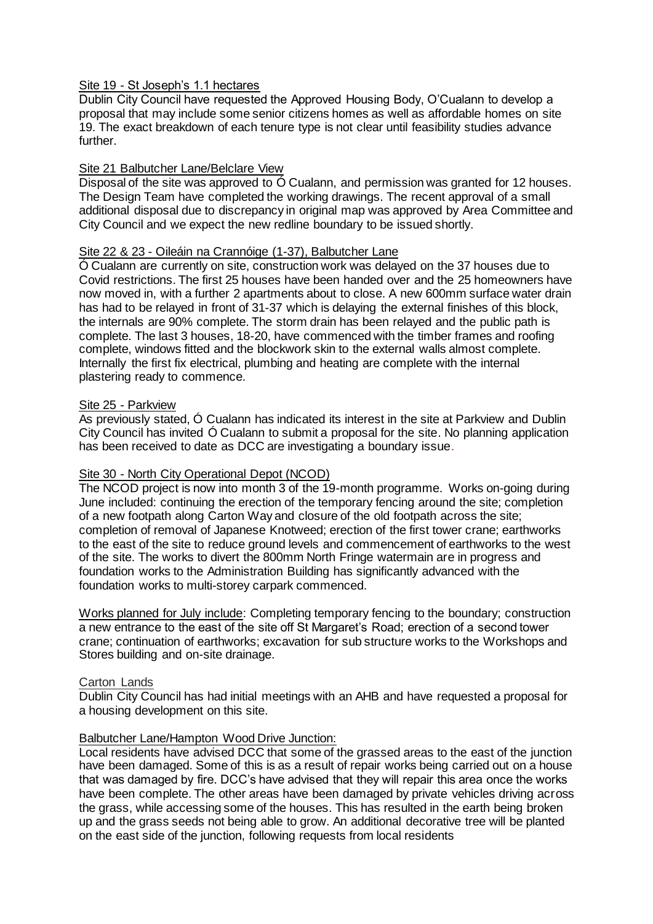### Site 19 - St Joseph's 1.1 hectares

Dublin City Council have requested the Approved Housing Body, O'Cualann to develop a proposal that may include some senior citizens homes as well as affordable homes on site 19. The exact breakdown of each tenure type is not clear until feasibility studies advance further.

### Site 21 Balbutcher Lane/Belclare View

Disposal of the site was approved to Ó Cualann, and permission was granted for 12 houses. The Design Team have completed the working drawings. The recent approval of a small additional disposal due to discrepancy in original map was approved by Area Committee and City Council and we expect the new redline boundary to be issued shortly.

# Site 22 & 23 - Oileáin na Crannóige (1-37), Balbutcher Lane

Ó Cualann are currently on site, construction work was delayed on the 37 houses due to Covid restrictions. The first 25 houses have been handed over and the 25 homeowners have now moved in, with a further 2 apartments about to close. A new 600mm surface water drain has had to be relayed in front of 31-37 which is delaying the external finishes of this block, the internals are 90% complete. The storm drain has been relayed and the public path is complete. The last 3 houses, 18-20, have commenced with the timber frames and roofing complete, windows fitted and the blockwork skin to the external walls almost complete. Internally the first fix electrical, plumbing and heating are complete with the internal plastering ready to commence.

### Site 25 - Parkview

As previously stated, Ó Cualann has indicated its interest in the site at Parkview and Dublin City Council has invited Ó Cualann to submit a proposal for the site. No planning application has been received to date as DCC are investigating a boundary issue.

## Site 30 - North City Operational Depot (NCOD)

The NCOD project is now into month 3 of the 19-month programme. Works on-going during June included: continuing the erection of the temporary fencing around the site; completion of a new footpath along Carton Way and closure of the old footpath across the site; completion of removal of Japanese Knotweed; erection of the first tower crane; earthworks to the east of the site to reduce ground levels and commencement of earthworks to the west of the site. The works to divert the 800mm North Fringe watermain are in progress and foundation works to the Administration Building has significantly advanced with the foundation works to multi-storey carpark commenced.

Works planned for July include: Completing temporary fencing to the boundary; construction a new entrance to the east of the site off St Margaret's Road; erection of a second tower crane; continuation of earthworks; excavation for sub structure works to the Workshops and Stores building and on-site drainage.

#### Carton Lands

Dublin City Council has had initial meetings with an AHB and have requested a proposal for a housing development on this site.

#### Balbutcher Lane/Hampton Wood Drive Junction:

Local residents have advised DCC that some of the grassed areas to the east of the junction have been damaged. Some of this is as a result of repair works being carried out on a house that was damaged by fire. DCC's have advised that they will repair this area once the works have been complete. The other areas have been damaged by private vehicles driving across the grass, while accessing some of the houses. This has resulted in the earth being broken up and the grass seeds not being able to grow. An additional decorative tree will be planted on the east side of the junction, following requests from local residents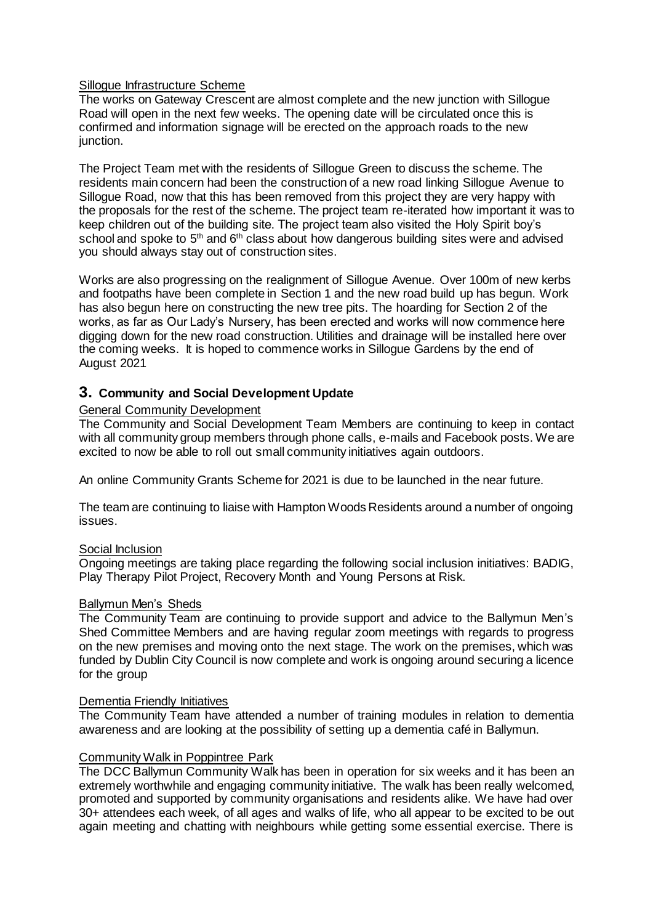### Sillogue Infrastructure Scheme

The works on Gateway Crescent are almost complete and the new junction with Sillogue Road will open in the next few weeks. The opening date will be circulated once this is confirmed and information signage will be erected on the approach roads to the new junction.

The Project Team met with the residents of Sillogue Green to discuss the scheme. The residents main concern had been the construction of a new road linking Sillogue Avenue to Sillogue Road, now that this has been removed from this project they are very happy with the proposals for the rest of the scheme. The project team re-iterated how important it was to keep children out of the building site. The project team also visited the Holy Spirit boy's school and spoke to 5<sup>th</sup> and 6<sup>th</sup> class about how dangerous building sites were and advised you should always stay out of construction sites.

Works are also progressing on the realignment of Sillogue Avenue. Over 100m of new kerbs and footpaths have been complete in Section 1 and the new road build up has begun. Work has also begun here on constructing the new tree pits. The hoarding for Section 2 of the works, as far as Our Lady's Nursery, has been erected and works will now commence here digging down for the new road construction. Utilities and drainage will be installed here over the coming weeks. It is hoped to commence works in Sillogue Gardens by the end of August 2021

# **3. Community and Social Development Update**

## General Community Development

The Community and Social Development Team Members are continuing to keep in contact with all community group members through phone calls, e-mails and Facebook posts. We are excited to now be able to roll out small community initiatives again outdoors.

An online Community Grants Scheme for 2021 is due to be launched in the near future.

The team are continuing to liaise with Hampton Woods Residents around a number of ongoing issues.

### Social Inclusion

Ongoing meetings are taking place regarding the following social inclusion initiatives: BADIG, Play Therapy Pilot Project, Recovery Month and Young Persons at Risk.

#### Ballymun Men's Sheds

The Community Team are continuing to provide support and advice to the Ballymun Men's Shed Committee Members and are having regular zoom meetings with regards to progress on the new premises and moving onto the next stage. The work on the premises, which was funded by Dublin City Council is now complete and work is ongoing around securing a licence for the group

#### Dementia Friendly Initiatives

The Community Team have attended a number of training modules in relation to dementia awareness and are looking at the possibility of setting up a dementia café in Ballymun.

### Community Walk in Poppintree Park

The DCC Ballymun Community Walk has been in operation for six weeks and it has been an extremely worthwhile and engaging community initiative. The walk has been really welcomed, promoted and supported by community organisations and residents alike. We have had over 30+ attendees each week, of all ages and walks of life, who all appear to be excited to be out again meeting and chatting with neighbours while getting some essential exercise. There is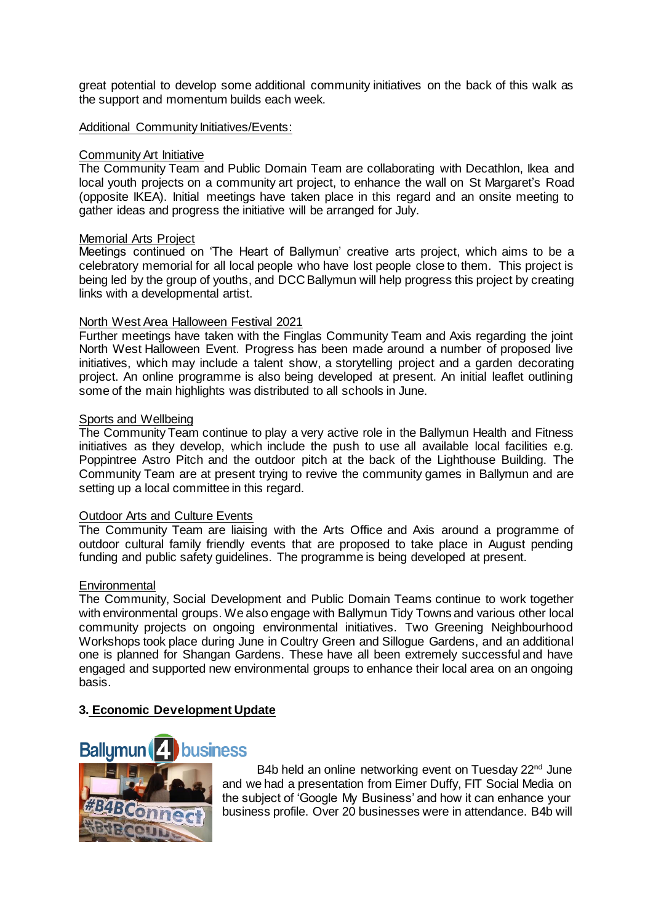great potential to develop some additional community initiatives on the back of this walk as the support and momentum builds each week.

### Additional Community Initiatives/Events:

### Community Art Initiative

The Community Team and Public Domain Team are collaborating with Decathlon, Ikea and local youth projects on a community art project, to enhance the wall on St Margaret's Road (opposite IKEA). Initial meetings have taken place in this regard and an onsite meeting to gather ideas and progress the initiative will be arranged for July.

#### Memorial Arts Project

Meetings continued on 'The Heart of Ballymun' creative arts project, which aims to be a celebratory memorial for all local people who have lost people close to them. This project is being led by the group of youths, and DCC Ballymun will help progress this project by creating links with a developmental artist.

### North West Area Halloween Festival 2021

Further meetings have taken with the Finglas Community Team and Axis regarding the joint North West Halloween Event. Progress has been made around a number of proposed live initiatives, which may include a talent show, a storytelling project and a garden decorating project. An online programme is also being developed at present. An initial leaflet outlining some of the main highlights was distributed to all schools in June.

### Sports and Wellbeing

The Community Team continue to play a very active role in the Ballymun Health and Fitness initiatives as they develop, which include the push to use all available local facilities e.g. Poppintree Astro Pitch and the outdoor pitch at the back of the Lighthouse Building. The Community Team are at present trying to revive the community games in Ballymun and are setting up a local committee in this regard.

#### Outdoor Arts and Culture Events

The Community Team are liaising with the Arts Office and Axis around a programme of outdoor cultural family friendly events that are proposed to take place in August pending funding and public safety guidelines. The programme is being developed at present.

#### **Environmental**

The Community, Social Development and Public Domain Teams continue to work together with environmental groups. We also engage with Ballymun Tidy Towns and various other local community projects on ongoing environmental initiatives. Two Greening Neighbourhood Workshops took place during June in Coultry Green and Sillogue Gardens, and an additional one is planned for Shangan Gardens. These have all been extremely successful and have engaged and supported new environmental groups to enhance their local area on an ongoing basis.

# **3. Economic Development Update**



B4b held an online networking event on Tuesday 22<sup>nd</sup> June and we had a presentation from Eimer Duffy, FIT Social Media on the subject of 'Google My Business' and how it can enhance your business profile. Over 20 businesses were in attendance. B4b will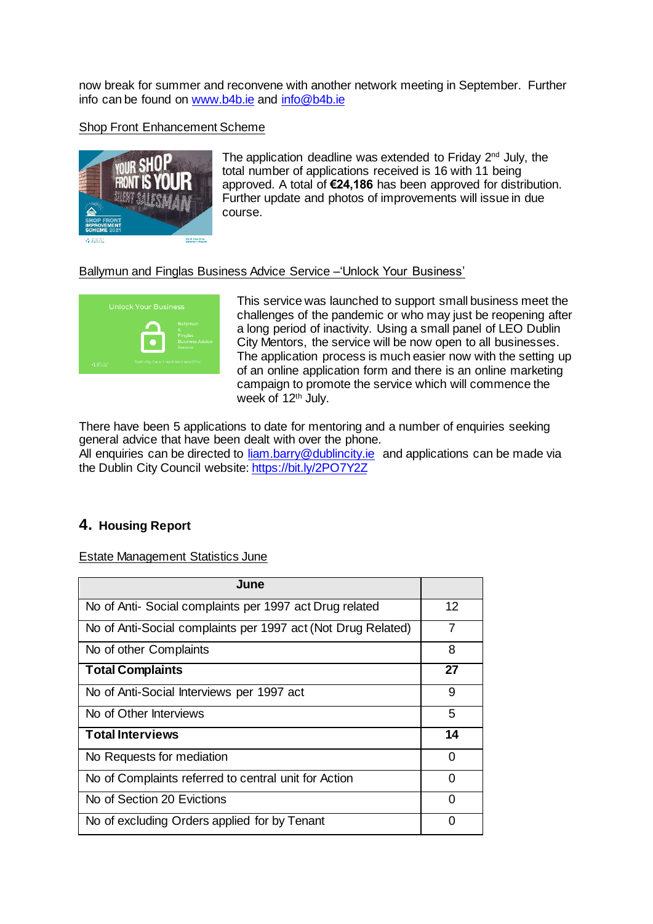now break for summer and reconvene with another network meeting in September. Further info can be found o[n www.b4b.ie](http://www.b4b.ie/) and [info@b4b.ie](mailto:info@b4b.ie)

## Shop Front Enhancement Scheme



The application deadline was extended to Friday 2<sup>nd</sup> July, the total number of applications received is 16 with 11 being approved. A total of **€24,186** has been approved for distribution. Further update and photos of improvements will issue in due course.

## Ballymun and Finglas Business Advice Service –'Unlock Your Business'



This service was launched to support small business meet the challenges of the pandemic or who may just be reopening after a long period of inactivity. Using a small panel of LEO Dublin City Mentors, the service will be now open to all businesses. The application process is much easier now with the setting up of an online application form and there is an online marketing campaign to promote the service which will commence the week of 12<sup>th</sup> July.

There have been 5 applications to date for mentoring and a number of enquiries seeking general advice that have been dealt with over the phone.

All enquiries can be directed to [liam.barry@dublincity.ie](mailto:liam.barry@dublincity.ie) and applications can be made via the Dublin City Council website[: https://bit.ly/2PO7Y2Z](https://bit.ly/2PO7Y2Z)

# **4. Housing Report**

Estate Management Statistics June

| June                                                         |          |
|--------------------------------------------------------------|----------|
| No of Anti- Social complaints per 1997 act Drug related      | 12       |
| No of Anti-Social complaints per 1997 act (Not Drug Related) | 7        |
| No of other Complaints                                       | 8        |
| <b>Total Complaints</b>                                      | 27       |
| No of Anti-Social Interviews per 1997 act                    | 9        |
| No of Other Interviews                                       | 5        |
| <b>Total Interviews</b>                                      | 14       |
| No Requests for mediation                                    | Ω        |
| No of Complaints referred to central unit for Action         | $\Omega$ |
| No of Section 20 Evictions                                   | $\Omega$ |
| No of excluding Orders applied for by Tenant                 |          |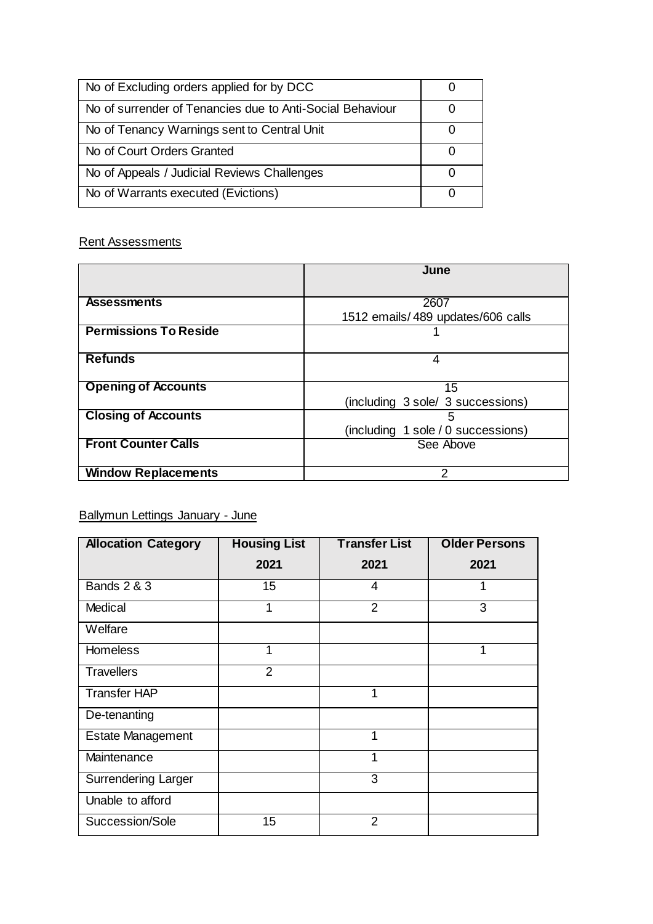| No of Excluding orders applied for by DCC                 |              |
|-----------------------------------------------------------|--------------|
| No of surrender of Tenancies due to Anti-Social Behaviour |              |
| No of Tenancy Warnings sent to Central Unit               |              |
| No of Court Orders Granted                                |              |
| No of Appeals / Judicial Reviews Challenges               | $\cup$       |
| No of Warrants executed (Evictions)                       | $\mathbf{I}$ |

# Rent Assessments

|                              | June                               |  |  |
|------------------------------|------------------------------------|--|--|
|                              |                                    |  |  |
| <b>Assessments</b>           | 2607                               |  |  |
|                              | 1512 emails/489 updates/606 calls  |  |  |
| <b>Permissions To Reside</b> |                                    |  |  |
|                              |                                    |  |  |
| <b>Refunds</b>               | 4                                  |  |  |
|                              |                                    |  |  |
| <b>Opening of Accounts</b>   | 15                                 |  |  |
|                              | (including 3 sole/ 3 successions)  |  |  |
| <b>Closing of Accounts</b>   | 5                                  |  |  |
|                              | (including 1 sole / 0 successions) |  |  |
| <b>Front Counter Calls</b>   | See Above                          |  |  |
|                              |                                    |  |  |
| <b>Window Replacements</b>   | 2                                  |  |  |

# Ballymun Lettings January - June

| <b>Allocation Category</b> | <b>Housing List</b> | <b>Transfer List</b> | <b>Older Persons</b> |
|----------------------------|---------------------|----------------------|----------------------|
|                            | 2021                | 2021                 | 2021                 |
| <b>Bands 2 &amp; 3</b>     | 15                  | 4                    | 1                    |
| Medical                    |                     | 2                    | 3                    |
| Welfare                    |                     |                      |                      |
| <b>Homeless</b>            | 1                   |                      | 1                    |
| <b>Travellers</b>          | $\overline{2}$      |                      |                      |
| <b>Transfer HAP</b>        |                     | 1                    |                      |
| De-tenanting               |                     |                      |                      |
| <b>Estate Management</b>   |                     | 1                    |                      |
| Maintenance                |                     | 1                    |                      |
| <b>Surrendering Larger</b> |                     | 3                    |                      |
| Unable to afford           |                     |                      |                      |
| Succession/Sole            | 15                  | $\overline{2}$       |                      |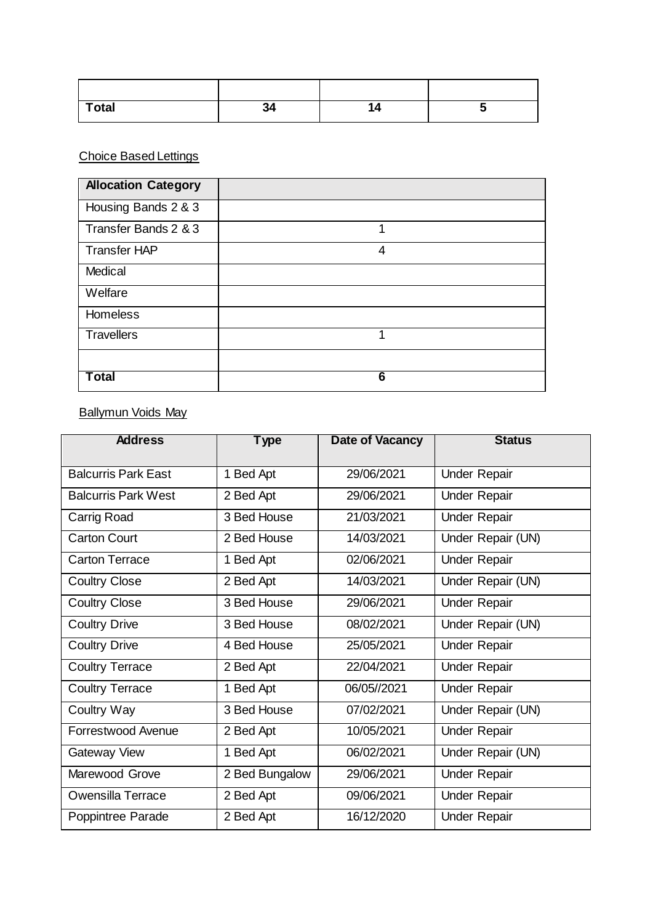| <b>Total</b> | -94 |  |
|--------------|-----|--|

# Choice Based Lettings

| <b>Allocation Category</b> |   |
|----------------------------|---|
| Housing Bands 2 & 3        |   |
| Transfer Bands 2 & 3       | 1 |
| <b>Transfer HAP</b>        | 4 |
| Medical                    |   |
| Welfare                    |   |
| <b>Homeless</b>            |   |
| <b>Travellers</b>          | 1 |
|                            |   |
| <b>Total</b>               | 6 |

# Ballymun Voids May

| <b>Address</b>             | <b>Type</b>    | Date of Vacancy | <b>Status</b>       |
|----------------------------|----------------|-----------------|---------------------|
| <b>Balcurris Park East</b> | 1 Bed Apt      | 29/06/2021      | <b>Under Repair</b> |
| <b>Balcurris Park West</b> | 2 Bed Apt      | 29/06/2021      | <b>Under Repair</b> |
| Carrig Road                | 3 Bed House    | 21/03/2021      | <b>Under Repair</b> |
| <b>Carton Court</b>        | 2 Bed House    | 14/03/2021      | Under Repair (UN)   |
| <b>Carton Terrace</b>      | 1 Bed Apt      | 02/06/2021      | <b>Under Repair</b> |
| <b>Coultry Close</b>       | 2 Bed Apt      | 14/03/2021      | Under Repair (UN)   |
| <b>Coultry Close</b>       | 3 Bed House    | 29/06/2021      | <b>Under Repair</b> |
| <b>Coultry Drive</b>       | 3 Bed House    | 08/02/2021      | Under Repair (UN)   |
| <b>Coultry Drive</b>       | 4 Bed House    | 25/05/2021      | <b>Under Repair</b> |
| <b>Coultry Terrace</b>     | 2 Bed Apt      | 22/04/2021      | <b>Under Repair</b> |
| <b>Coultry Terrace</b>     | 1 Bed Apt      | 06/05//2021     | <b>Under Repair</b> |
| Coultry Way                | 3 Bed House    | 07/02/2021      | Under Repair (UN)   |
| Forrestwood Avenue         | 2 Bed Apt      | 10/05/2021      | <b>Under Repair</b> |
| Gateway View               | 1 Bed Apt      | 06/02/2021      | Under Repair (UN)   |
| Marewood Grove             | 2 Bed Bungalow | 29/06/2021      | <b>Under Repair</b> |
| <b>Owensilla Terrace</b>   | 2 Bed Apt      | 09/06/2021      | <b>Under Repair</b> |
| Poppintree Parade          | 2 Bed Apt      | 16/12/2020      | <b>Under Repair</b> |